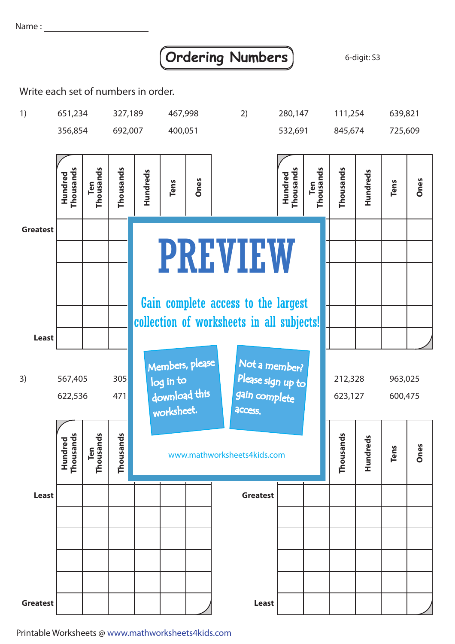Name:

## **Ordering Numbers** 6-digit: S3

Write each set of numbers in order.



Printable Worksheets @ www.mathworksheets4kids.com